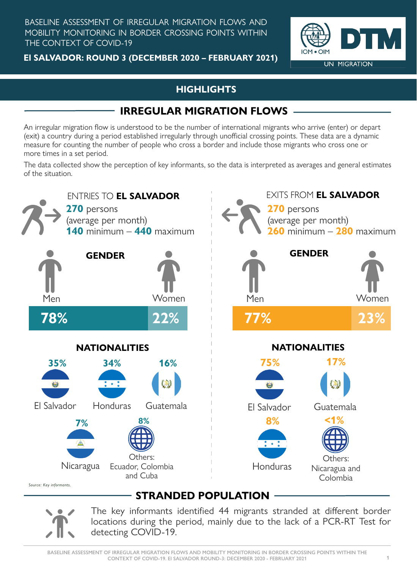BASELINE ASSESSMENT OF IRREGULAR MIGRATION FLOWS AND MOBILITY MONITORING IN BORDER CROSSING POINTS WITHIN THE CONTEXT OF COVID-19

> The key informants identified 44 migrants stranded at different border locations during the period, mainly due to the lack of a PCR-RT Test for detecting COVID-19.

**El SALVADOR: ROUND 3 (DECEMBER 2020 – FEBRUARY 2021)**



An irregular migration flow is understood to be the number of international migrants who arrive (enter) or depart (exit) a country during a period established irregularly through unofficial crossing points. These data are a dynamic measure for counting the number of people who cross a border and include those migrants who cross one or more times in a set period.



#### **HIGHLIGHTS**

## **IRREGULAR MIGRATION FLOWS**

The data collected show the perception of key informants, so the data is interpreted as averages and general estimates of the situation.

# **STRANDED POPULATION**

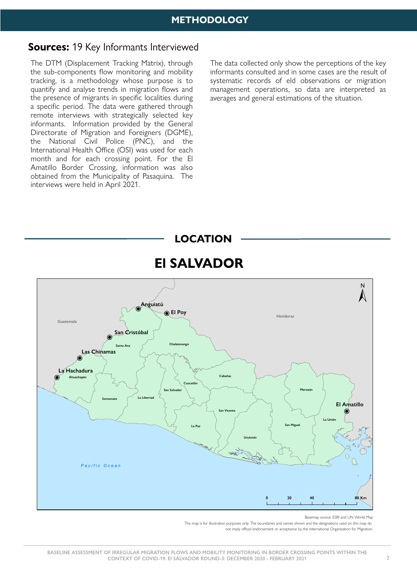#### **Sources:** 19 Key Informants Interviewed

The DTM (Displacement Tracking Matrix), through the sub-components flow monitoring and mobility tracking, is a methodology whose purpose is to quantify and analyse trends in migration flows and the presence of migrants in specific localities during a specific period. The data were gathered through remote interviews with strategically selected key informants. Information provided by the General Directorate of Migration and Foreigners (DGME), the National Civil Police (PNC), and the International Health Office (OSI) was used for each month and for each crossing point. For the El Amatillo Border Crossing, information was also obtained from the Municipality of Pasaquina. The interviews were held in April 2021.

|                               | N                     |
|-------------------------------|-----------------------|
| Anguiatú<br>$\bigcirc$ El Poy | والموهب والمعويم الطل |

The data collected only show the perceptions of the key informants consulted and in some cases are the result of systematic records of eld observations or migration management operations, so data are interpreted as averages and general estimations of the situation.

# **El SALVADOR**





Basemap source: ESRI and UN World Map This map is for illustration purposes only. The boundaries and names shown and the designations used on this map do not imply official endorsement or acceptance by the International Organization for Migration.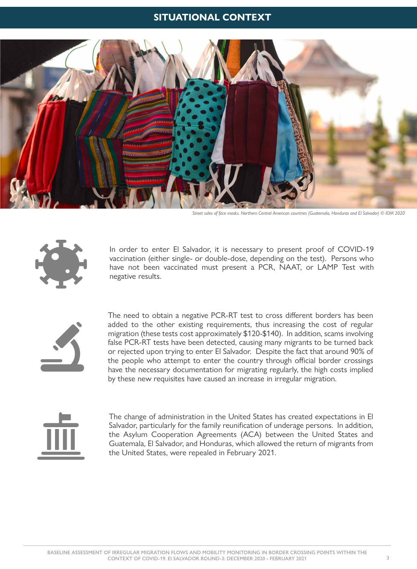The need to obtain a negative PCR-RT test to cross different borders has been added to the other existing requirements, thus increasing the cost of regular migration (these tests cost approximately \$120-\$140). In addition, scams involving false PCR-RT tests have been detected, causing many migrants to be turned back or rejected upon trying to enter El Salvador. Despite the fact that around 90% of the people who attempt to enter the country through official border crossings have the necessary documentation for migrating regularly, the high costs implied by these new requisites have caused an increase in irregular migration.



In order to enter El Salvador, it is necessary to present proof of COVID-19 vaccination (either single- or double-dose, depending on the test). Persons who have not been vaccinated must present a PCR, NAAT, or LAMP Test with negative results.



The change of administration in the United States has created expectations in El Salvador, particularly for the family reunification of underage persons. In addition, the Asylum Cooperation Agreements (ACA) between the United States and Guatemala, El Salvador, and Honduras, which allowed the return of migrants from the United States, were repealed in February 2021.

#### **SITUATIONAL CONTEXT**



*Street sales of face masks. Northern Central American countries (Guatemala, Honduras and El Salvador) © IOM 2020*

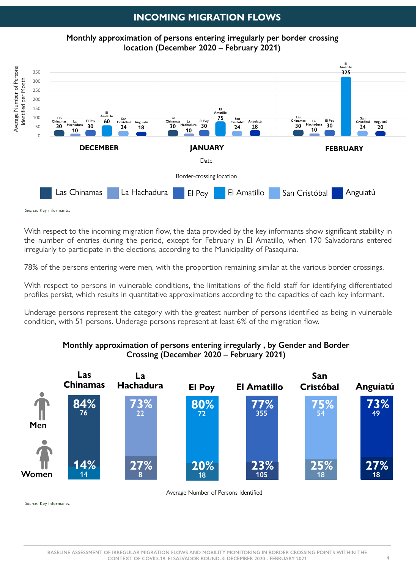#### **INCOMING MIGRATION FLOWS**

With respect to the incoming migration flow, the data provided by the key informants show significant stability in the number of entries during the period, except for February in El Amatillo, when 170 Salvadorans entered irregularly to participate in the elections, according to the Municipality of Pasaquina.

78% of the persons entering were men, with the proportion remaining similar at the various border crossings.

With respect to persons in vulnerable conditions, the limitations of the field staff for identifying differentiated profiles persist, which results in quantitative approximations according to the capacities of each key informant.

Underage persons represent the category with the greatest number of persons identified as being in vulnerable condition, with 51 persons. Underage persons represent at least 6% of the migration flow.

**Monthly approximation of persons entering irregularly per border crossing location (December 2020 – February 2021)**

#### **Monthly approximation of persons entering irregularly , by Gender and Border Crossing (December 2020 – February 2021)**

Source: Key informants.

Source: Key informants.



Average Number of Persons Identified

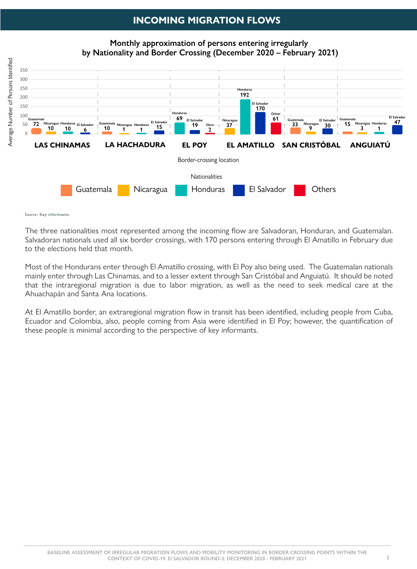#### **INCOMING MIGRATION FLOWS**

The three nationalities most represented among the incoming flow are Salvadoran, Honduran, and Guatemalan. Salvadoran nationals used all six border crossings, with 170 persons entering through El Amatillo in February due to the elections held that month.

At El Amatillo border, an extraregional migration flow in transit has been identified, including people from Cuba, Ecuador and Colombia, also, people coming from Asia were identified in El Poy; however, the quantification of these people is minimal according to the perspective of key informants.

Most of the Hondurans enter through El Amatillo crossing, with El Poy also being used. The Guatemalan nationals mainly enter through Las Chinamas, and to a lesser extent through San Cristóbal and Anguiatú. It should be noted that the intraregional migration is due to labor migration, as well as the need to seek medical care at the Ahuachapán and Santa Ana locations.

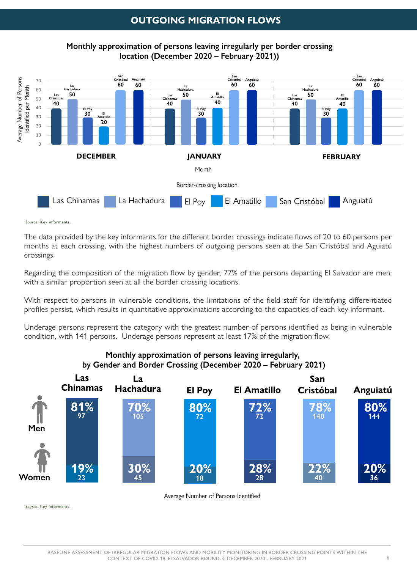#### **OUTGOING MIGRATION FLOWS**

The data provided by the key informants for the different border crossings indicate flows of 20 to 60 persons per months at each crossing, with the highest numbers of outgoing persons seen at the San Cristóbal and Aguiatú crossings.

Regarding the composition of the migration flow by gender, 77% of the persons departing El Salvador are men, with a similar proportion seen at all the border crossing locations.

With respect to persons in vulnerable conditions, the limitations of the field staff for identifying differentiated profiles persist, which results in quantitative approximations according to the capacities of each key informant.

Underage persons represent the category with the greatest number of persons identified as being in vulnerable condition, with 141 persons. Underage persons represent at least 17% of the migration flow.

#### **Monthly approximation of persons leaving irregularly, by Gender and Border Crossing (December 2020 – February 2021)**



Average Number of Persons Identified

Source: Key informants.

**Monthly approximation of persons leaving irregularly per border crossing location (December 2020 – February 2021))**

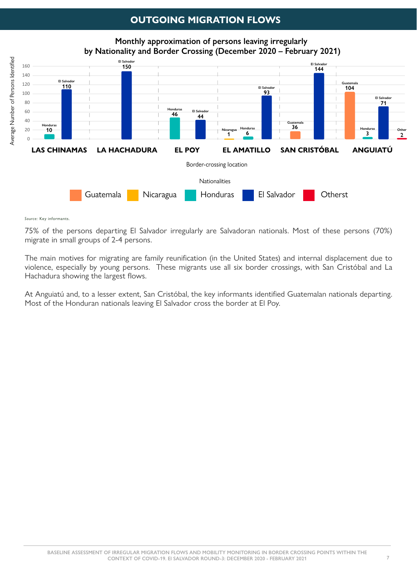#### **OUTGOING MIGRATION FLOWS**

75% of the persons departing El Salvador irregularly are Salvadoran nationals. Most of these persons (70%) migrate in small groups of 2-4 persons.

The main motives for migrating are family reunification (in the United States) and internal displacement due to violence, especially by young persons. These migrants use all six border crossings, with San Cristóbal and La Hachadura showing the largest flows.

At Anguiatú and, to a lesser extent, San Cristóbal, the key informants identified Guatemalan nationals departing. Most of the Honduran nationals leaving El Salvador cross the border at El Poy.

**Monthly approximation of persons leaving irregularly by Nationality and Border Crossing (December 2020 – February 2021)**

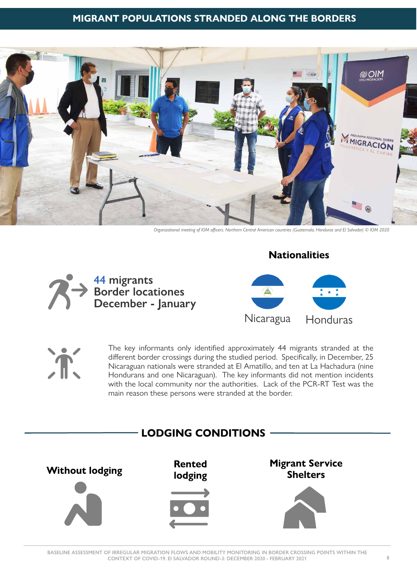#### **MIGRANT POPULATIONS STRANDED ALONG THE BORDERS**



*Organizational meeting of IOM officers. Northern Central American countries (Guatemala, Honduras and El Salvador) © IOM 2020* 

The key informants only identified approximately 44 migrants stranded at the different border crossings during the studied period. Specifically, in December, 25 Nicaraguan nationals were stranded at El Amatillo, and ten at La Hachadura (nine Hondurans and one Nicaraguan). The key informants did not mention incidents with the local community nor the authorities. Lack of the PCR-RT Test was the main reason these persons were stranded at the border.



#### **Nationalities**



Nicaragua Honduras